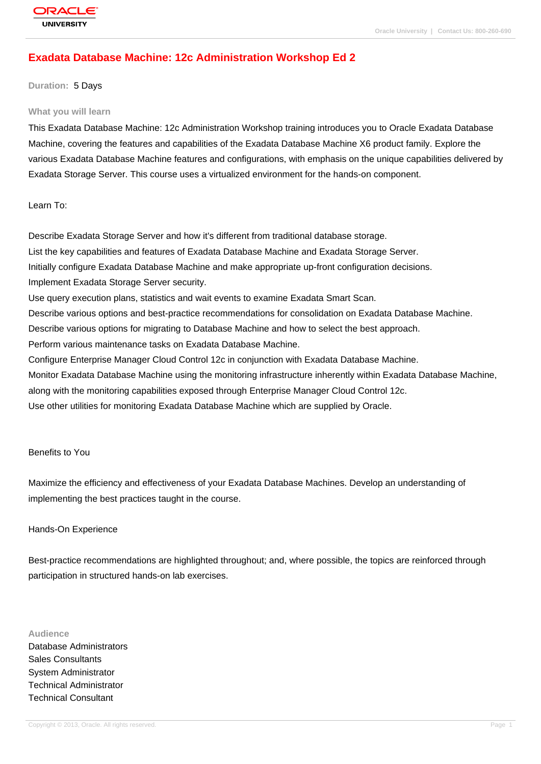# **[Exadata Datab](http://education.oracle.com/pls/web_prod-plq-dad/db_pages.getpage?page_id=3)ase Machine: 12c Administration Workshop Ed 2**

#### **Duration:** 5 Days

#### **What you will learn**

This Exadata Database Machine: 12c Administration Workshop training introduces you to Oracle Exadata Database Machine, covering the features and capabilities of the Exadata Database Machine X6 product family. Explore the various Exadata Database Machine features and configurations, with emphasis on the unique capabilities delivered by Exadata Storage Server. This course uses a virtualized environment for the hands-on component.

Learn To:

Describe Exadata Storage Server and how it's different from traditional database storage. List the key capabilities and features of Exadata Database Machine and Exadata Storage Server. Initially configure Exadata Database Machine and make appropriate up-front configuration decisions. Implement Exadata Storage Server security. Use query execution plans, statistics and wait events to examine Exadata Smart Scan. Describe various options and best-practice recommendations for consolidation on Exadata Database Machine. Describe various options for migrating to Database Machine and how to select the best approach. Perform various maintenance tasks on Exadata Database Machine. Configure Enterprise Manager Cloud Control 12c in conjunction with Exadata Database Machine. Monitor Exadata Database Machine using the monitoring infrastructure inherently within Exadata Database Machine, along with the monitoring capabilities exposed through Enterprise Manager Cloud Control 12c. Use other utilities for monitoring Exadata Database Machine which are supplied by Oracle.

Benefits to You

Maximize the efficiency and effectiveness of your Exadata Database Machines. Develop an understanding of implementing the best practices taught in the course.

#### Hands-On Experience

Best-practice recommendations are highlighted throughout; and, where possible, the topics are reinforced through participation in structured hands-on lab exercises.

#### **Audience**

Database Administrators Sales Consultants System Administrator Technical Administrator Technical Consultant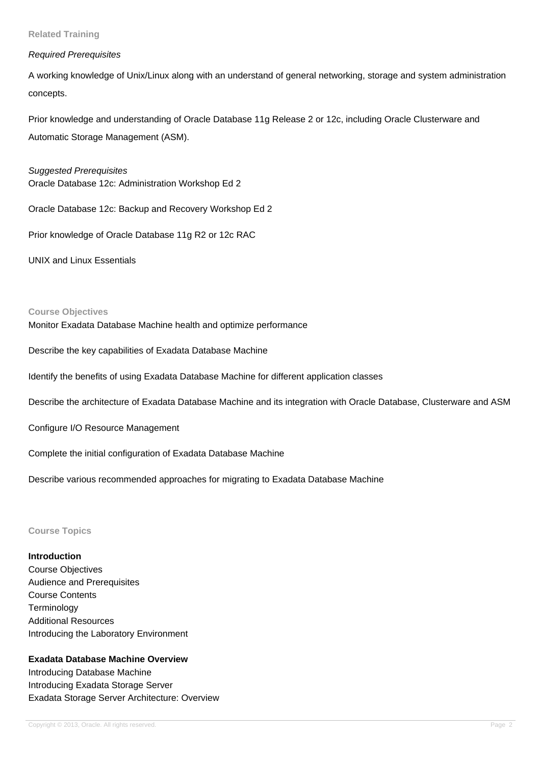#### **Related Training**

#### Required Prerequisites

A working knowledge of Unix/Linux along with an understand of general networking, storage and system administration concepts.

Prior knowledge and understanding of Oracle Database 11g Release 2 or 12c, including Oracle Clusterware and Automatic Storage Management (ASM).

Suggested Prerequisites Oracle Database 12c: Administration Workshop Ed 2

Oracle Database 12c: Backup and Recovery Workshop Ed 2

Prior knowledge of Oracle Database 11g R2 or 12c RAC

UNIX and Linux Essentials

#### **Course Objectives**

Monitor Exadata Database Machine health and optimize performance

Describe the key capabilities of Exadata Database Machine

Identify the benefits of using Exadata Database Machine for different application classes

Describe the architecture of Exadata Database Machine and its integration with Oracle Database, Clusterware and ASM

Configure I/O Resource Management

Complete the initial configuration of Exadata Database Machine

Describe various recommended approaches for migrating to Exadata Database Machine

## **Course Topics**

## **Introduction**

Course Objectives Audience and Prerequisites Course Contents **Terminology** Additional Resources Introducing the Laboratory Environment

# **Exadata Database Machine Overview**

Introducing Database Machine Introducing Exadata Storage Server Exadata Storage Server Architecture: Overview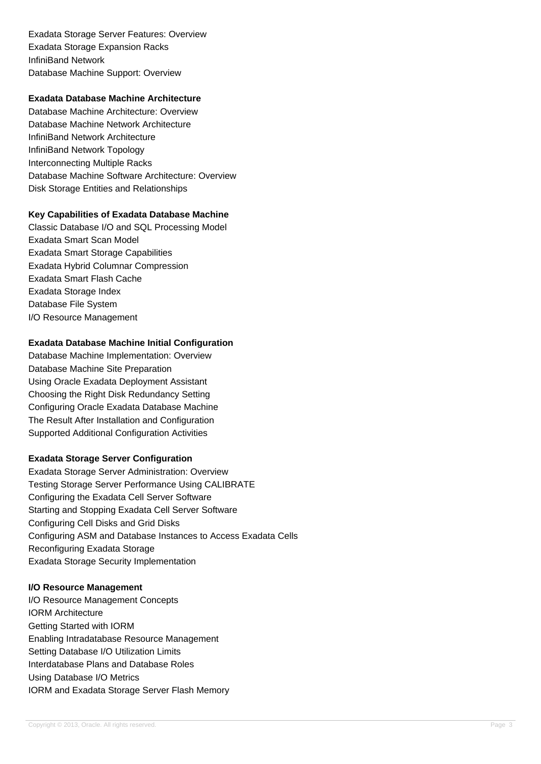Exadata Storage Server Features: Overview Exadata Storage Expansion Racks InfiniBand Network Database Machine Support: Overview

# **Exadata Database Machine Architecture**

Database Machine Architecture: Overview Database Machine Network Architecture InfiniBand Network Architecture InfiniBand Network Topology Interconnecting Multiple Racks Database Machine Software Architecture: Overview Disk Storage Entities and Relationships

# **Key Capabilities of Exadata Database Machine**

Classic Database I/O and SQL Processing Model Exadata Smart Scan Model Exadata Smart Storage Capabilities Exadata Hybrid Columnar Compression Exadata Smart Flash Cache Exadata Storage Index Database File System I/O Resource Management

# **Exadata Database Machine Initial Configuration**

Database Machine Implementation: Overview Database Machine Site Preparation Using Oracle Exadata Deployment Assistant Choosing the Right Disk Redundancy Setting Configuring Oracle Exadata Database Machine The Result After Installation and Configuration Supported Additional Configuration Activities

# **Exadata Storage Server Configuration**

Exadata Storage Server Administration: Overview Testing Storage Server Performance Using CALIBRATE Configuring the Exadata Cell Server Software Starting and Stopping Exadata Cell Server Software Configuring Cell Disks and Grid Disks Configuring ASM and Database Instances to Access Exadata Cells Reconfiguring Exadata Storage Exadata Storage Security Implementation

## **I/O Resource Management**

I/O Resource Management Concepts IORM Architecture Getting Started with IORM Enabling Intradatabase Resource Management Setting Database I/O Utilization Limits Interdatabase Plans and Database Roles Using Database I/O Metrics IORM and Exadata Storage Server Flash Memory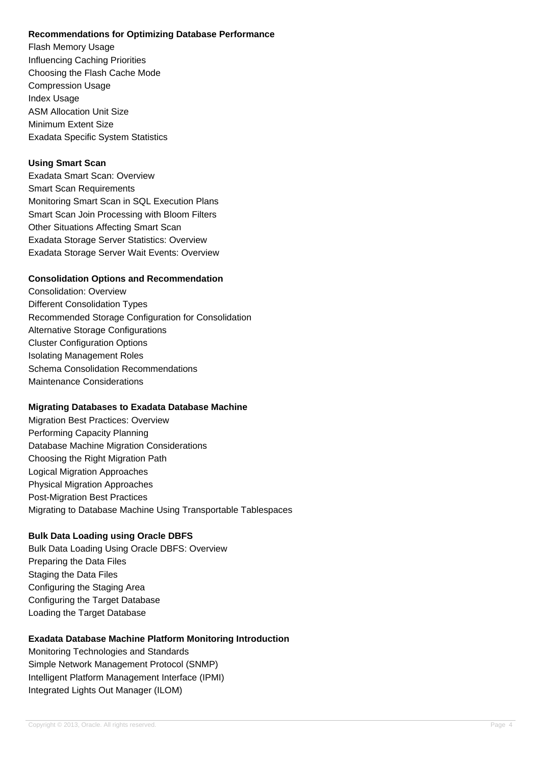## **Recommendations for Optimizing Database Performance**

Flash Memory Usage Influencing Caching Priorities Choosing the Flash Cache Mode Compression Usage Index Usage ASM Allocation Unit Size Minimum Extent Size Exadata Specific System Statistics

# **Using Smart Scan**

Exadata Smart Scan: Overview Smart Scan Requirements Monitoring Smart Scan in SQL Execution Plans Smart Scan Join Processing with Bloom Filters Other Situations Affecting Smart Scan Exadata Storage Server Statistics: Overview Exadata Storage Server Wait Events: Overview

# **Consolidation Options and Recommendation**

Consolidation: Overview Different Consolidation Types Recommended Storage Configuration for Consolidation Alternative Storage Configurations Cluster Configuration Options Isolating Management Roles Schema Consolidation Recommendations Maintenance Considerations

## **Migrating Databases to Exadata Database Machine**

Migration Best Practices: Overview Performing Capacity Planning Database Machine Migration Considerations Choosing the Right Migration Path Logical Migration Approaches Physical Migration Approaches Post-Migration Best Practices Migrating to Database Machine Using Transportable Tablespaces

# **Bulk Data Loading using Oracle DBFS**

Bulk Data Loading Using Oracle DBFS: Overview Preparing the Data Files Staging the Data Files Configuring the Staging Area Configuring the Target Database Loading the Target Database

# **Exadata Database Machine Platform Monitoring Introduction**

Monitoring Technologies and Standards Simple Network Management Protocol (SNMP) Intelligent Platform Management Interface (IPMI) Integrated Lights Out Manager (ILOM)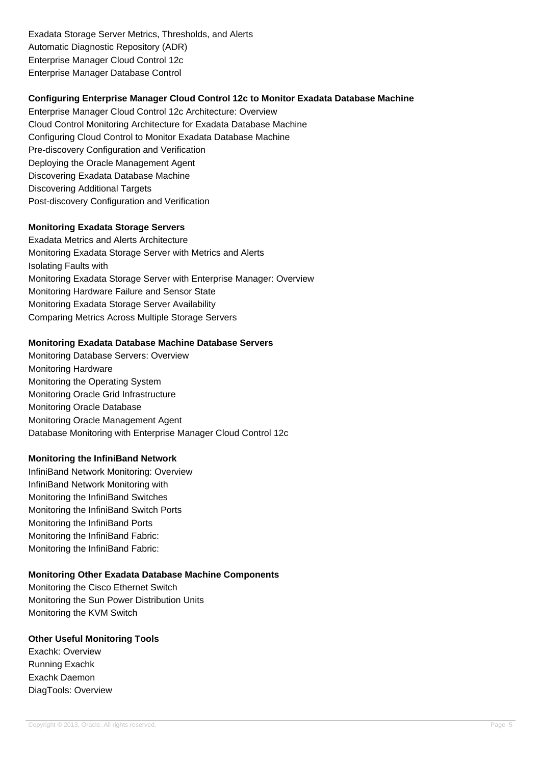Exadata Storage Server Metrics, Thresholds, and Alerts Automatic Diagnostic Repository (ADR) Enterprise Manager Cloud Control 12c Enterprise Manager Database Control

# **Configuring Enterprise Manager Cloud Control 12c to Monitor Exadata Database Machine**

Enterprise Manager Cloud Control 12c Architecture: Overview Cloud Control Monitoring Architecture for Exadata Database Machine Configuring Cloud Control to Monitor Exadata Database Machine Pre-discovery Configuration and Verification Deploying the Oracle Management Agent Discovering Exadata Database Machine Discovering Additional Targets Post-discovery Configuration and Verification

# **Monitoring Exadata Storage Servers**

Exadata Metrics and Alerts Architecture Monitoring Exadata Storage Server with Metrics and Alerts Isolating Faults with Monitoring Exadata Storage Server with Enterprise Manager: Overview Monitoring Hardware Failure and Sensor State Monitoring Exadata Storage Server Availability Comparing Metrics Across Multiple Storage Servers

## **Monitoring Exadata Database Machine Database Servers**

Monitoring Database Servers: Overview Monitoring Hardware Monitoring the Operating System Monitoring Oracle Grid Infrastructure Monitoring Oracle Database Monitoring Oracle Management Agent Database Monitoring with Enterprise Manager Cloud Control 12c

## **Monitoring the InfiniBand Network**

InfiniBand Network Monitoring: Overview InfiniBand Network Monitoring with Monitoring the InfiniBand Switches Monitoring the InfiniBand Switch Ports Monitoring the InfiniBand Ports Monitoring the InfiniBand Fabric: Monitoring the InfiniBand Fabric:

# **Monitoring Other Exadata Database Machine Components**

Monitoring the Cisco Ethernet Switch Monitoring the Sun Power Distribution Units Monitoring the KVM Switch

# **Other Useful Monitoring Tools**

Exachk: Overview Running Exachk Exachk Daemon DiagTools: Overview